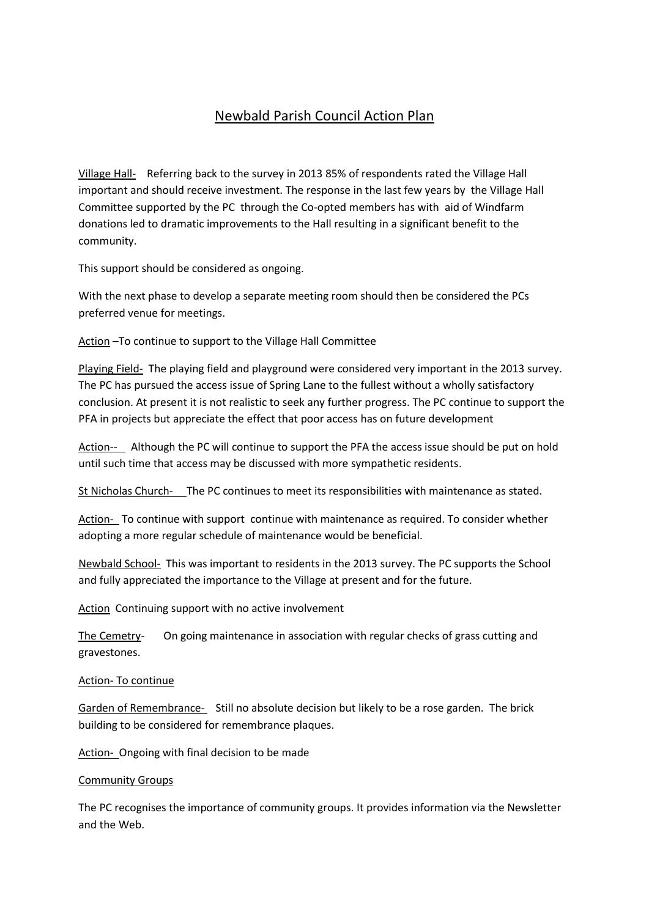# Newbald Parish Council Action Plan

Village Hall- Referring back to the survey in 2013 85% of respondents rated the Village Hall important and should receive investment. The response in the last few years by the Village Hall Committee supported by the PC through the Co-opted members has with aid of Windfarm donations led to dramatic improvements to the Hall resulting in a significant benefit to the community.

This support should be considered as ongoing.

With the next phase to develop a separate meeting room should then be considered the PCs preferred venue for meetings.

Action –To continue to support to the Village Hall Committee

Playing Field- The playing field and playground were considered very important in the 2013 survey. The PC has pursued the access issue of Spring Lane to the fullest without a wholly satisfactory conclusion. At present it is not realistic to seek any further progress. The PC continue to support the PFA in projects but appreciate the effect that poor access has on future development

Action-- Although the PC will continue to support the PFA the access issue should be put on hold until such time that access may be discussed with more sympathetic residents.

St Nicholas Church- The PC continues to meet its responsibilities with maintenance as stated.

Action- To continue with support continue with maintenance as required. To consider whether adopting a more regular schedule of maintenance would be beneficial.

Newbald School- This was important to residents in the 2013 survey. The PC supports the School and fully appreciated the importance to the Village at present and for the future.

Action Continuing support with no active involvement

The Cemetry- On going maintenance in association with regular checks of grass cutting and gravestones.

## Action- To continue

Garden of Remembrance- Still no absolute decision but likely to be a rose garden. The brick building to be considered for remembrance plaques.

Action- Ongoing with final decision to be made

## Community Groups

The PC recognises the importance of community groups. It provides information via the Newsletter and the Web.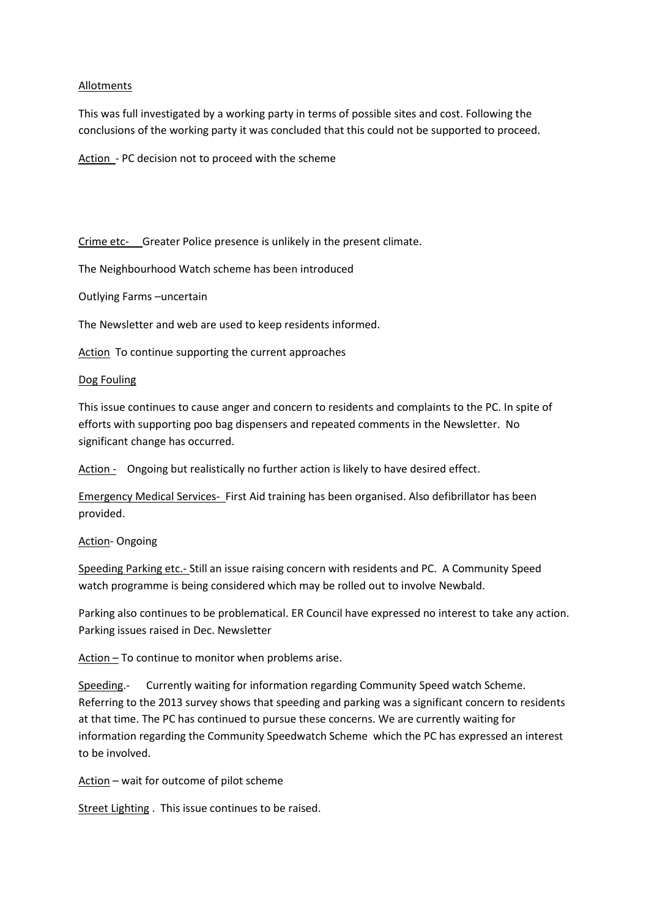## Allotments

This was full investigated by a working party in terms of possible sites and cost. Following the conclusions of the working party it was concluded that this could not be supported to proceed.

Action - PC decision not to proceed with the scheme

Crime etc- Greater Police presence is unlikely in the present climate.

The Neighbourhood Watch scheme has been introduced

Outlying Farms –uncertain

The Newsletter and web are used to keep residents informed.

Action To continue supporting the current approaches

## Dog Fouling

This issue continues to cause anger and concern to residents and complaints to the PC. In spite of efforts with supporting poo bag dispensers and repeated comments in the Newsletter. No significant change has occurred.

Action - Ongoing but realistically no further action is likely to have desired effect.

Emergency Medical Services- First Aid training has been organised. Also defibrillator has been provided.

## **Action-Ongoing**

Speeding Parking etc.- Still an issue raising concern with residents and PC. A Community Speed watch programme is being considered which may be rolled out to involve Newbald.

Parking also continues to be problematical. ER Council have expressed no interest to take any action. Parking issues raised in Dec. Newsletter

Action – To continue to monitor when problems arise.

Speeding.- Currently waiting for information regarding Community Speed watch Scheme. Referring to the 2013 survey shows that speeding and parking was a significant concern to residents at that time. The PC has continued to pursue these concerns. We are currently waiting for information regarding the Community Speedwatch Scheme which the PC has expressed an interest to be involved.

Action – wait for outcome of pilot scheme

Street Lighting . This issue continues to be raised.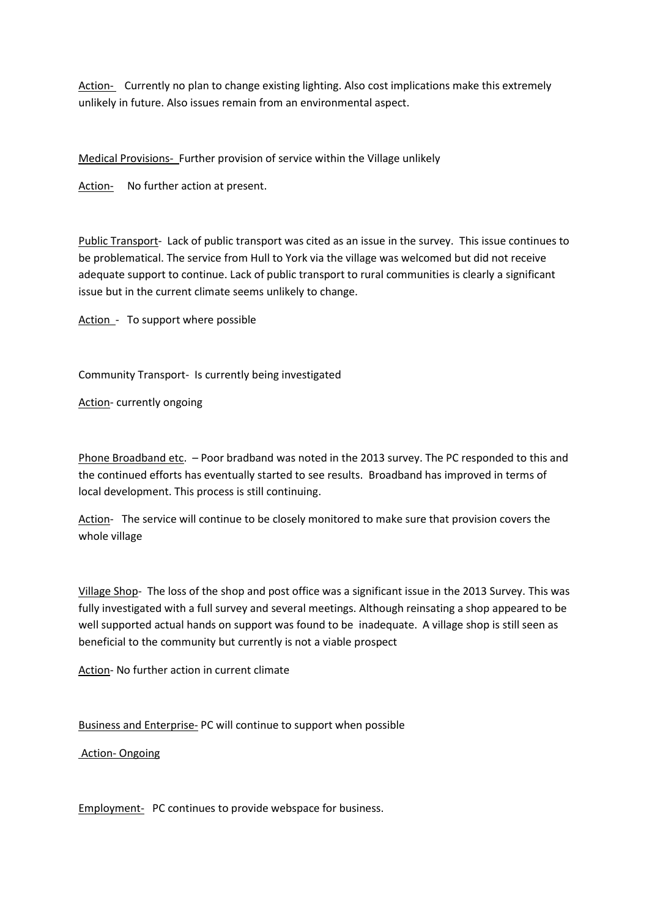Action- Currently no plan to change existing lighting. Also cost implications make this extremely unlikely in future. Also issues remain from an environmental aspect.

Medical Provisions- Further provision of service within the Village unlikely

Action- No further action at present.

Public Transport- Lack of public transport was cited as an issue in the survey. This issue continues to be problematical. The service from Hull to York via the village was welcomed but did not receive adequate support to continue. Lack of public transport to rural communities is clearly a significant issue but in the current climate seems unlikely to change.

Action - To support where possible

Community Transport- Is currently being investigated

Action- currently ongoing

Phone Broadband etc. - Poor bradband was noted in the 2013 survey. The PC responded to this and the continued efforts has eventually started to see results. Broadband has improved in terms of local development. This process is still continuing.

Action- The service will continue to be closely monitored to make sure that provision covers the whole village

Village Shop- The loss of the shop and post office was a significant issue in the 2013 Survey. This was fully investigated with a full survey and several meetings. Although reinsating a shop appeared to be well supported actual hands on support was found to be inadequate. A village shop is still seen as beneficial to the community but currently is not a viable prospect

Action- No further action in current climate

Business and Enterprise- PC will continue to support when possible

Action- Ongoing

Employment- PC continues to provide webspace for business.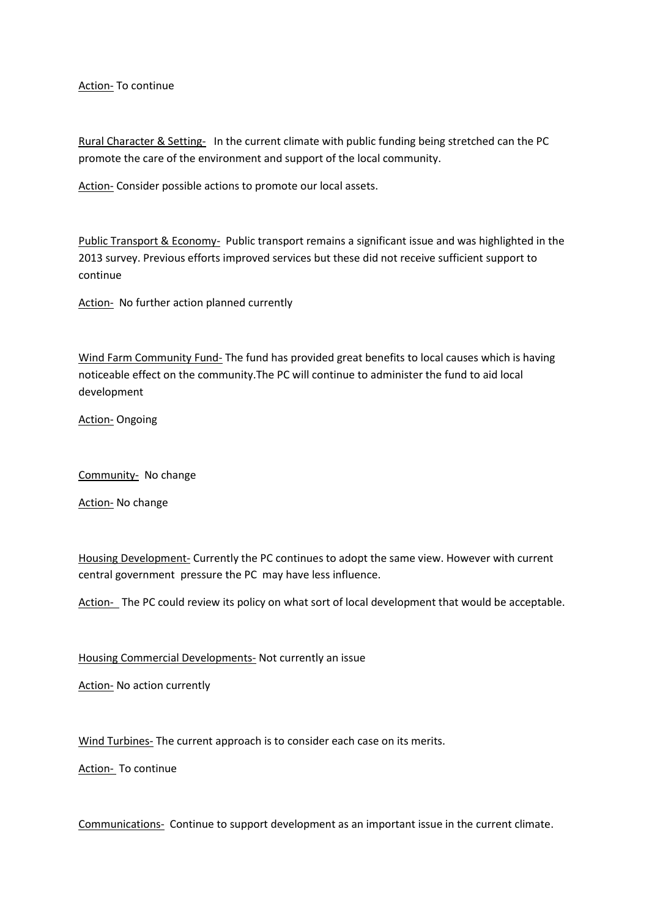Action- To continue

Rural Character & Setting- In the current climate with public funding being stretched can the PC promote the care of the environment and support of the local community.

Action- Consider possible actions to promote our local assets.

Public Transport & Economy- Public transport remains a significant issue and was highlighted in the 2013 survey. Previous efforts improved services but these did not receive sufficient support to continue

Action- No further action planned currently

Wind Farm Community Fund- The fund has provided great benefits to local causes which is having noticeable effect on the community.The PC will continue to administer the fund to aid local development

**Action- Ongoing** 

Community- No change

Action- No change

Housing Development- Currently the PC continues to adopt the same view. However with current central government pressure the PC may have less influence.

Action- The PC could review its policy on what sort of local development that would be acceptable.

Housing Commercial Developments- Not currently an issue

Action- No action currently

Wind Turbines- The current approach is to consider each case on its merits.

Action- To continue

Communications- Continue to support development as an important issue in the current climate.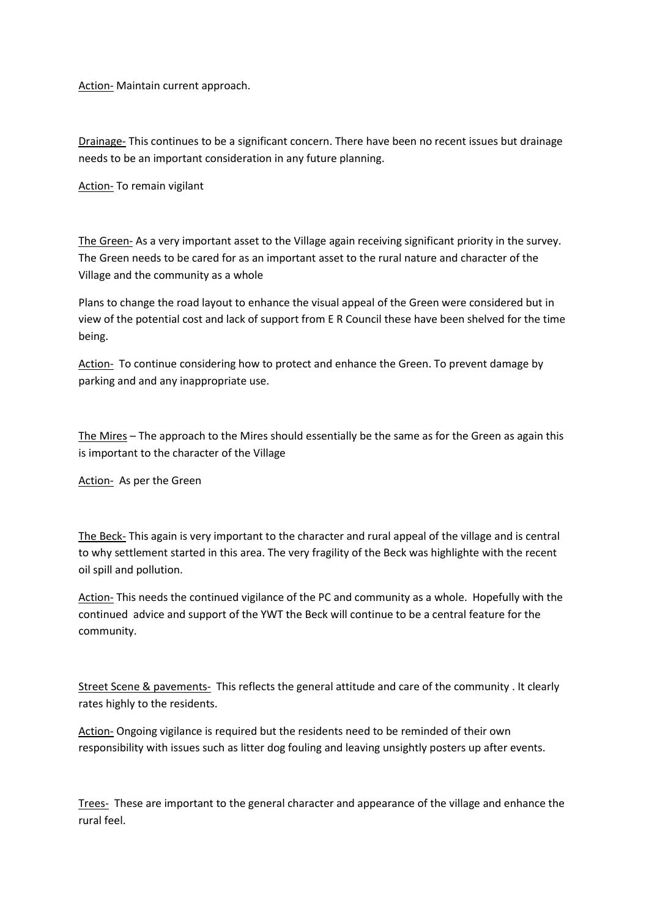Action- Maintain current approach.

Drainage- This continues to be a significant concern. There have been no recent issues but drainage needs to be an important consideration in any future planning.

Action- To remain vigilant

The Green- As a very important asset to the Village again receiving significant priority in the survey. The Green needs to be cared for as an important asset to the rural nature and character of the Village and the community as a whole

Plans to change the road layout to enhance the visual appeal of the Green were considered but in view of the potential cost and lack of support from E R Council these have been shelved for the time being.

Action- To continue considering how to protect and enhance the Green. To prevent damage by parking and and any inappropriate use.

The Mires – The approach to the Mires should essentially be the same as for the Green as again this is important to the character of the Village

Action- As per the Green

The Beck- This again is very important to the character and rural appeal of the village and is central to why settlement started in this area. The very fragility of the Beck was highlighte with the recent oil spill and pollution.

Action- This needs the continued vigilance of the PC and community as a whole. Hopefully with the continued advice and support of the YWT the Beck will continue to be a central feature for the community.

Street Scene & pavements- This reflects the general attitude and care of the community . It clearly rates highly to the residents.

Action- Ongoing vigilance is required but the residents need to be reminded of their own responsibility with issues such as litter dog fouling and leaving unsightly posters up after events.

Trees- These are important to the general character and appearance of the village and enhance the rural feel.